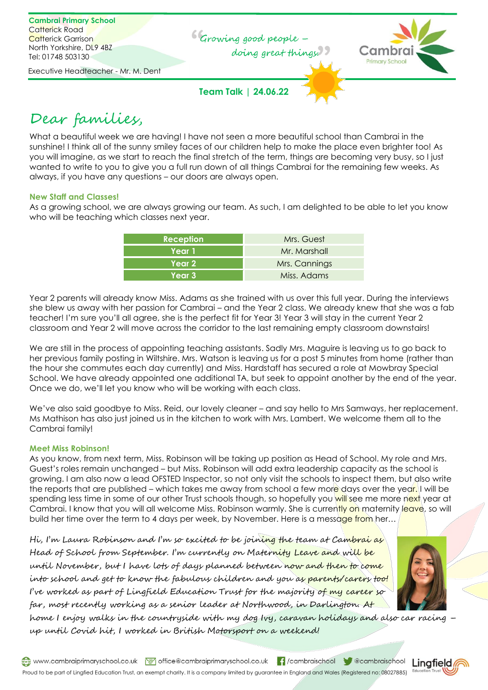

# Dear families,

What a beautiful week we are having! I have not seen a more beautiful school than Cambrai in the sunshine! I think all of the sunny smiley faces of our children help to make the place even brighter too! As you will imagine, as we start to reach the final stretch of the term, things are becoming very busy, so I just wanted to write to you to give you a full run down of all things Cambrai for the remaining few weeks. As always, if you have any questions – our doors are always open.

## **New Staff and Classes!**

As a growing school, we are always growing our team. As such, I am delighted to be able to let you know who will be teaching which classes next year.

| <b>Reception</b> | Mrs. Guest    |
|------------------|---------------|
| Year 1           | Mr. Marshall  |
| Year 2           | Mrs. Cannings |
| Year 3           | Miss. Adams   |

Year 2 parents will already know Miss. Adams as she trained with us over this full year. During the interviews she blew us away with her passion for Cambrai – and the Year 2 class. We already knew that she was a fab teacher! I'm sure you'll all agree, she is the perfect fit for Year 3! Year 3 will stay in the current Year 2 classroom and Year 2 will move across the corridor to the last remaining empty classroom downstairs!

We are still in the process of appointing teaching assistants. Sadly Mrs. Maguire is leaving us to go back to her previous family posting in Wiltshire. Mrs. Watson is leaving us for a post 5 minutes from home (rather than the hour she commutes each day currently) and Miss. Hardstaff has secured a role at Mowbray Special School. We have already appointed one additional TA, but seek to appoint another by the end of the year. Once we do, we'll let you know who will be working with each class.

We've also said goodbye to Miss. Reid, our lovely cleaner – and say hello to Mrs Samways, her replacement. Ms Mathison has also just joined us in the kitchen to work with Mrs. Lambert. We welcome them all to the Cambrai family!

#### **Meet Miss Robinson!**

As you know, from next term, Miss. Robinson will be taking up position as Head of School. My role and Mrs. Guest's roles remain unchanged – but Miss. Robinson will add extra leadership capacity as the school is growing. I am also now a lead OFSTED Inspector, so not only visit the schools to inspect them, but also write the reports that are published – which takes me away from school a few more days over the year. I will be spending less time in some of our other Trust schools though, so hopefully you will see me more next year at Cambrai. I know that you will all welcome Miss. Robinson warmly. She is currently on maternity leave, so will build her time over the term to 4 days per week, by November. Here is a message from her...

Hi, I'm Laura Robinson and I'm so excited to be joining the team at Cambrai as Head of School from September. I'm currently on Maternity Leave and will be until November, but I have lots of days planned between now and then to come into school and get to know the fabulous children and you as parents/carers too! I've worked as part of Lingfield Education Trust for the majority of my career so far, most recently working as a senior leader at Northwood, in Darlington. At



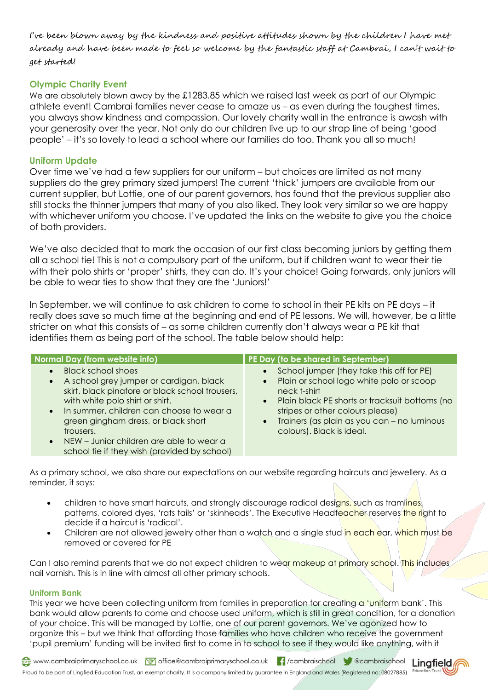I've been blown away by the kindness and positive attitudes shown by the children I have met already and have been made to feel so welcome by the fantastic staff at Cambrai, I can't wait to get started!

# **Olympic Charity Event**

We are absolutely blown away by the £1283.85 which we raised last week as part of our Olympic athlete event! Cambrai families never cease to amaze us – as even during the toughest times, you always show kindness and compassion. Our lovely charity wall in the entrance is awash with your generosity over the year. Not only do our children live up to our strap line of being 'good people' – it's so lovely to lead a school where our families do too. Thank you all so much!

## **Uniform Update**

Over time we've had a few suppliers for our uniform – but choices are limited as not many suppliers do the grey primary sized jumpers! The current 'thick' jumpers are available from our current supplier, but Lottie, one of our parent governors, has found that the previous supplier also still stocks the thinner jumpers that many of you also liked. They look very similar so we are happy with whichever uniform you choose. I've updated the links on the website to give you the choice of both providers.

We've also decided that to mark the occasion of our first class becoming juniors by getting them all a school tie! This is not a compulsory part of the uniform, but if children want to wear their tie with their polo shirts or 'proper' shirts, they can do. It's your choice! Going forwards, only juniors will be able to wear ties to show that they are the 'Juniors!'

In September, we will continue to ask children to come to school in their PE kits on PE days – it really does save so much time at the beginning and end of PE lessons. We will, however, be a little stricter on what this consists of – as some children currently don't always wear a PE kit that identifies them as being part of the school. The table below should help:

| Normal Day (from website info)                                                                                                                                                                                                                                                                                                                                                       | PE Day (to be shared in September)                                                                                                                                                                                                                                                                             |
|--------------------------------------------------------------------------------------------------------------------------------------------------------------------------------------------------------------------------------------------------------------------------------------------------------------------------------------------------------------------------------------|----------------------------------------------------------------------------------------------------------------------------------------------------------------------------------------------------------------------------------------------------------------------------------------------------------------|
| <b>Black school shoes</b><br>$\bullet$<br>A school grey jumper or cardigan, black<br>$\bullet$<br>skirt, black pinafore or black school trousers,<br>with white polo shirt or shirt.<br>. In summer, children can choose to wear a<br>green gingham dress, or black short<br>trousers.<br>• NEW – Junior children are able to wear a<br>school tie if they wish (provided by school) | School jumper (they take this off for PE)<br>Plain or school logo white polo or scoop<br>$\bullet$<br>neck t-shirt<br>Plain black PE shorts or tracksuit bottoms (no<br>$\bullet$<br>stripes or other colours please)<br>Trainers (as plain as you can - no luminous<br>$\bullet$<br>colours). Black is ideal. |

As a primary school, we also share our expectations on our website regarding haircuts and jewellery. As a reminder, it says:

- children to have smart haircuts, and strongly discourage radical designs, such as tramlines, patterns, colored dyes, 'rats tails' or 'skinheads'. The Executive Headteacher reserves the right to decide if a haircut is 'radical'.
- Children are not allowed jewelry other than a watch and a single stud in each ear, which must be removed or covered for PE

Can I also remind parents that we do not expect children to wear makeup at primary school. This includes nail varnish. This is in line with almost all other primary schools.

#### **Uniform Bank**

This year we have been collecting uniform from families in preparation for creating a 'uniform bank'. This bank would allow parents to come and choose used uniform, which is still in great condition, for a donation of your choice. This will be managed by Lottie, one of our parent governors. We've agonized how to organize this – but we think that affording those families who have children who receive the government 'pupil premium' funding will be invited first to come in to school to see if they would like anything, with it

www.cambraiprimaryschool.co.uk Moj office@cambraiprimaryschool.co.uk || /cambraischool | @cambraischool Linafield Proud to be part of Lingfied Education Trust, an exempt charity. It is a company limited by guarantee in England and Wales (Registered no: 08027885) <sup>Edu</sup>

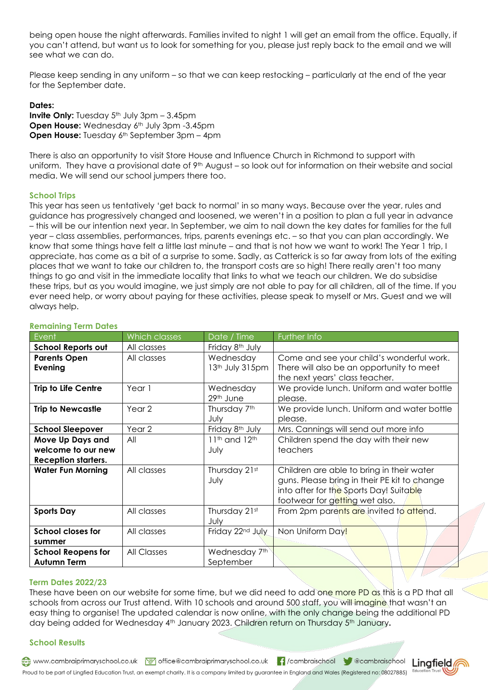being open house the night afterwards. Families invited to night 1 will get an email from the office. Equally, if you can't attend, but want us to look for something for you, please just reply back to the email and we will see what we can do.

Please keep sending in any uniform – so that we can keep restocking – particularly at the end of the year for the September date.

#### **Dates:**

**Invite Only:** Tuesday  $5<sup>th</sup>$  July 3pm – 3.45pm **Open House:** Wednesday 6<sup>th</sup> July 3pm -3.45pm **Open House:** Tuesday 6<sup>th</sup> September 3pm – 4pm

There is also an opportunity to visit Store House and Influence Church in Richmond to support with uniform. They have a provisional date of 9<sup>th</sup> August – so look out for information on their website and social media. We will send our school jumpers there too.

### **School Trips**

This year has seen us tentatively 'get back to normal' in so many ways. Because over the year, rules and guidance has progressively changed and loosened, we weren't in a position to plan a full year in advance – this will be our intention next year. In September, we aim to nail down the key dates for families for the full year – class assemblies, performances, trips, parents evenings etc. – so that you can plan accordingly. We know that some things have felt a little last minute – and that is not how we want to work! The Year 1 trip, I appreciate, has come as a bit of a surprise to some. Sadly, as Catterick is so far away from lots of the exiting places that we want to take our children to, the transport costs are so high! There really aren't too many things to go and visit in the immediate locality that links to what we teach our children. We do subsidise these trips, but as you would imagine, we just simply are not able to pay for all children, all of the time. If you ever need help, or worry about paying for these activities, please speak to myself or Mrs. Guest and we will always help.

| Event                                                                | Which classes     | Date / Time                                   | Further Info                                                                                                                                                           |
|----------------------------------------------------------------------|-------------------|-----------------------------------------------|------------------------------------------------------------------------------------------------------------------------------------------------------------------------|
| School Reports out                                                   | All classes       | Friday 8 <sup>th</sup> July                   |                                                                                                                                                                        |
| <b>Parents Open</b><br>Evening                                       | All classes       | Wednesday<br>13th July 315pm                  | Come and see your child's wonderful work.<br>There will also be an opportunity to meet<br>the next years' class teacher.                                               |
| <b>Trip to Life Centre</b>                                           | Year 1            | Wednesday<br>29th June                        | We provide lunch. Uniform and water bottle<br>please.                                                                                                                  |
| <b>Trip to Newcastle</b>                                             | Year <sub>2</sub> | Thursday 7th<br>July                          | We provide lunch. Uniform and water bottle<br>please.                                                                                                                  |
| <b>School Sleepover</b>                                              | Year 2            | Friday 8 <sup>th</sup> July                   | Mrs. Cannings will send out more info                                                                                                                                  |
| Move Up Days and<br>welcome to our new<br><b>Reception starters.</b> | All               | 11 <sup>th</sup> and 12 <sup>th</sup><br>July | Children spend the day with their new<br>teachers                                                                                                                      |
| <b>Water Fun Morning</b>                                             | All classes       | Thursday 21st<br>July                         | Children are able to bring in their water<br>guns. Please bring in their PE kit to change<br>into after for the Sports Day! Suitable<br>footwear for getting wet also. |
| <b>Sports Day</b>                                                    | All classes       | Thursday 21st<br>July                         | From 2pm parents are invited to attend.                                                                                                                                |
| <b>School closes for</b><br>summer                                   | All classes       | Friday 22nd July                              | Non Uniform Day!                                                                                                                                                       |
| <b>School Reopens for</b><br><b>Autumn Term</b>                      | All Classes       | Wednesday 7th<br>September                    |                                                                                                                                                                        |

#### **Remaining Term Dates**

#### **Term Dates 2022/23**

These have been on our website for some time, but we did need to add one more PD as this is a PD that all schools from across our Trust attend. With 10 schools and around 500 staff, you will imagine that wasn't an easy thing to organise! The updated calendar is now online, with the only change being the additional PD day being added for Wednesday 4th January 2023. Children return on Thursday 5th January**.** 

#### **School Results**